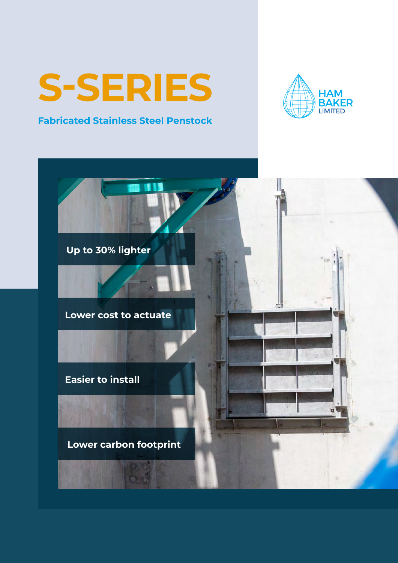## **S-SERIES**

### **Fabricated Stainless Steel Penstock**



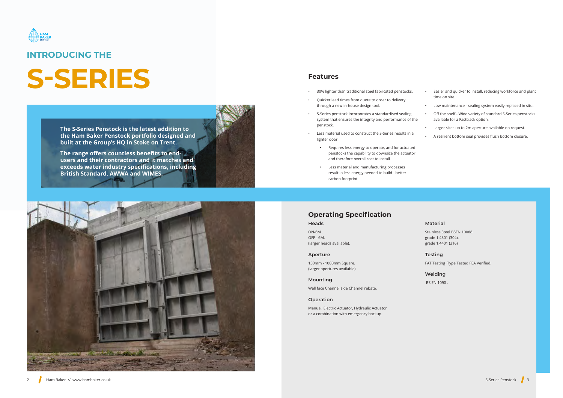**The S-Series Penstock is the latest addition to the Ham Baker Penstock portfolio designed and built at the Group's HQ in Stoke on Trent.**

**The range offers countless benefits to endusers and their contractors and it matches and exceeds water industry specifications, including British Standard, AWWA and WIMES.**





## **INTRODUCING THE**

## **S-SERIES** • Features<br>• 30% lighter than traditional steel fabricated penstocks.

- 
- Quicker lead times from quote to order to delivery through a new in-house design tool.
- S-Series penstock incorporates a standardised sealing system that ensures the integrity and performance of the penstock.
- Less material used to construct the S-Series results in a lighter door.
	- Requires less energy to operate, and for actuated penstocks the capability to downsize the actuator and therefore overall cost to install.
	- Less material and manufacturing processes result in less energy needed to build - better carbon footprint.
- Easier and quicker to install, reducing workforce and plant time on site.
- Low maintenance sealing system easily replaced in situ.
- Off the shelf Wide variety of standard S-Series penstocks available for a Fasttrack option.
- Larger sizes up to 2m aperture available on request.
- A resilient bottom seal provides flush bottom closure.

### **Features**

## **Operating Specification**

#### **Heads**

ON-6M . OFF - 6M. (larger heads available).

#### **Aperture**

150mm - 1000mm Square. (larger apertures available).

#### **Mounting**

Wall face Channel side Channel rebate.

#### **Operation**

Manual, Electric Actuator, Hydraulic Actuator or a combination with emergency backup.

#### **Material**

Stainless Steel BSEN 10088 . grade 1.4301 (304). grade 1.4401 (316)

#### **Testing**

FAT Testing Type Tested FEA Verified.

#### **Welding**

BS EN 1090 .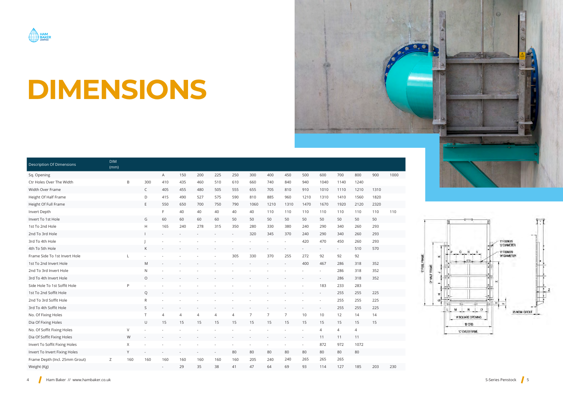

# **DIMENSIONS**

|                                  | <b>DIM</b> |        |             |                |                |                |     |     |                |      |      |      |                |                |                |      |      |
|----------------------------------|------------|--------|-------------|----------------|----------------|----------------|-----|-----|----------------|------|------|------|----------------|----------------|----------------|------|------|
| <b>Description Of Dimensions</b> | (mm)       |        |             |                |                |                |     |     |                |      |      |      |                |                |                |      |      |
| Sq. Opening                      |            |        |             | A              | 150            | 200            | 225 | 250 | 300            | 400  | 450  | 500  | 600            | 700            | 800            | 900  | 1000 |
| Ctr Holes Over The Width         |            | B      | 300         | 410            | 435            | 460            | 510 | 610 | 660            | 740  | 840  | 940  | 1040           | 1140           | 1240           |      |      |
| Width Over Frame                 |            |        | C           | 405            | 455            | 480            | 505 | 555 | 655            | 705  | 810  | 910  | 1010           | 1110           | 1210           | 1310 |      |
| Height Of Half Frame             |            |        | D           | 415            | 490            | 527            | 575 | 590 | 810            | 885  | 960  | 1210 | 1310           | 1410           | 1560           | 1820 |      |
| Height Of Full Frame             |            |        | E           | 550            | 650            | 700            | 750 | 790 | 1060           | 1210 | 1310 | 1470 | 1670           | 1920           | 2120           | 2320 |      |
| Invert Depth                     |            |        |             | F.             | 40             | 40             | 40  | 40  | 40             | 110  | 110  | 110  | 110            | 110            | 110            | 110  | 110  |
| Invert To 1st Hole               |            |        | G           | 60             | 60             | 60             | 60  | 50  | 50             | 50   | 50   | 50   | 50             | 50             | 50             | 50   |      |
| 1st To 2nd Hole                  |            |        | H           | 165            | 240            | 278            | 315 | 350 | 280            | 330  | 380  | 240  | 290            | 340            | 260            | 293  |      |
| 2nd To 3rd Hole                  |            |        |             |                |                |                |     |     | 320            | 345  | 370  | 240  | 290            | 340            | 260            | 293  |      |
| 3rd To 4th Hole                  |            |        |             |                |                |                |     |     |                |      |      | 420  | 470            | 450            | 260            | 293  |      |
| 4th To 5th Hole                  |            |        | К           |                |                |                |     |     |                |      |      |      |                | $\sim$         | 510            | 570  |      |
| Frame Side To 1st Invert Hole    |            |        |             |                |                |                |     | 305 | 330            | 370  | 255  | 272  | 92             | 92             | 92             |      |      |
| 1st To 2nd Invert Hole           |            |        | M           |                |                |                |     |     |                |      |      | 400  | 467            | 286            | 318            | 352  |      |
| 2nd To 3rd Invert Hole           |            |        | N           |                |                |                |     |     |                |      |      |      |                | 286            | 318            | 352  |      |
| 3rd To 4th Invert Hole           |            |        | $\circ$     |                |                |                |     |     |                |      |      |      |                | 286            | 318            | 352  |      |
| Side Hole To 1st Soffit Hole     |            | P      |             |                |                |                |     |     |                |      |      |      | 183            | 233            | 283            |      |      |
| 1st To 2nd Soffit Hole           |            |        | Q           |                |                |                |     |     |                |      |      |      |                | 255            | 255            | 225  |      |
| 2nd To 3rd Soffit Hole           |            |        | $\mathsf R$ |                |                |                |     |     |                |      |      |      |                | 255            | 255            | 225  |      |
| 3rd To 4th Soffit Hole           |            |        | S           |                |                |                |     |     |                |      |      |      |                | 255            | 255            | 225  |      |
| No. Of Fixing Holes              |            |        | $\top$      | $\overline{4}$ | $\overline{4}$ | $\overline{4}$ | 4   | 4   | $\overline{7}$ | 7    | 7    | 10   | 10             | 12             | 14             | 14   |      |
| Dia Of Fixing Holes              |            |        | U           | 15             | 15             | 15             | 15  | 15  | 15             | 15   | 15   | 15   | 15             | 15             | 15             | 15   |      |
| No. Of Soffit Fixing Holes       |            | $\vee$ |             |                |                |                |     |     |                |      |      |      | $\overline{4}$ | $\overline{4}$ | $\overline{4}$ |      |      |
| Dia Of Soffit Fixing Holes       |            | W      |             |                |                |                |     |     |                |      |      |      | 11             | 11             | 11             |      |      |
| Invert To Soffit Fixing Holes    |            | X      |             |                |                |                |     |     |                |      |      |      | 872            | 972            | 1072           |      |      |
| Invert To Invert Fixing Holes    |            | Y      |             |                |                |                |     | 80  | 80             | 80   | 80   | 80   | 80             | 80             | 80             |      |      |
| Frame Depth (Incl. 25mm Grout)   | Ζ          | 160    | 160         | 160            | 160            | 160            | 160 | 160 | 205            | 240  | 240  | 265  | 265            | 265            |                |      |      |
| Weight (Kg)                      |            |        |             |                | 29             | 35             | 38  | 41  | 47             | 64   | 69   | 93   | 114            | 127            | 185            | 203  | 230  |

 $\bullet$ 

**EFULFRA**